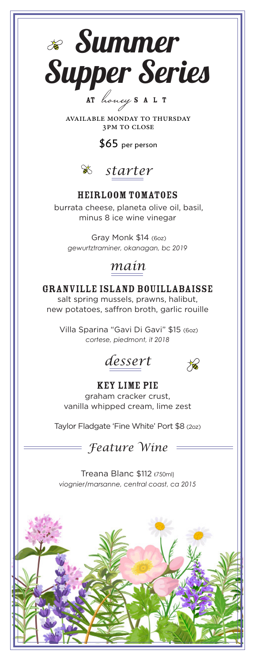

AVAILABLE MONDAY TO thursday 3PM TO CLOSE

\$65 per person



## Heirloom Tomatoes

burrata cheese, planeta olive oil, basil, minus 8 ice wine vinegar

 Gray Monk \$14 (6oz) *gewurtztraminer, okanagan, bc 2019*

## *main*

## Granville Island Bouillabaisse

salt spring mussels, prawns, halibut, new potatoes, saffron broth, garlic rouille

 Villa Sparina "Gavi Di Gavi" \$15 (6oz) *cortese, piedmont, it 2018*

*dessert*



### Key Lime Pie graham cracker crust, vanilla whipped cream, lime zest

Taylor Fladgate 'Fine White' Port \$8 (2oz)

*Feature Wine*

Treana Blanc \$112 (750ml) *viognier/marsanne, central coast, ca 2015*